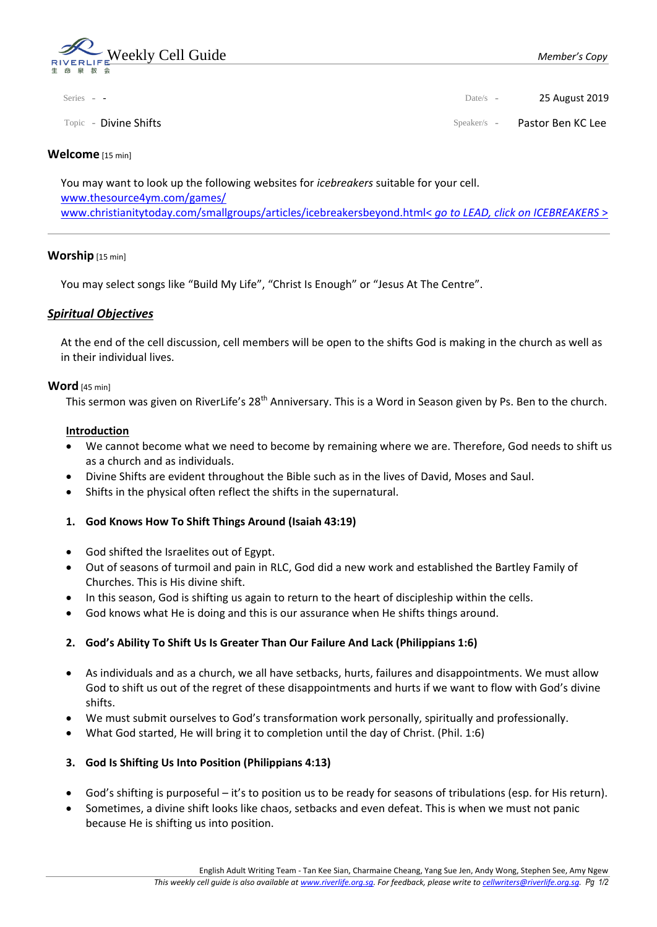

| Series - - | Date/s - 25 August 2019 |
|------------|-------------------------|
|            |                         |

Topic - Divine Shifts Speaker/s - Pastor Ben KC Lee

### **Welcome** [15 min]

You may want to look up the following websites for *icebreakers* suitable for your cell. [www.thesource4ym.com/games/](http://www.thesource4ym.com/games/) [www.christianitytoday.com/smallgroups/articles/icebreakersbeyond.html<](http://www.christianitytoday.com/smallgroups/articles/icebreakersbeyond.html) *go to LEAD, click on ICEBREAKERS* >

## **Worship** [15 min]

You may select songs like "Build My Life", "Christ Is Enough" or "Jesus At The Centre".

# *Spiritual Objectives*

At the end of the cell discussion, cell members will be open to the shifts God is making in the church as well as in their individual lives.

### **Word** [45 min]

This sermon was given on RiverLife's 28<sup>th</sup> Anniversary. This is a Word in Season given by Ps. Ben to the church.

### **Introduction**

- We cannot become what we need to become by remaining where we are. Therefore, God needs to shift us as a church and as individuals.
- Divine Shifts are evident throughout the Bible such as in the lives of David, Moses and Saul.
- Shifts in the physical often reflect the shifts in the supernatural.

## **1. God Knows How To Shift Things Around (Isaiah 43:19)**

- God shifted the Israelites out of Egypt.
- Out of seasons of turmoil and pain in RLC, God did a new work and established the Bartley Family of Churches. This is His divine shift.
- In this season, God is shifting us again to return to the heart of discipleship within the cells.
- God knows what He is doing and this is our assurance when He shifts things around.

## **2. God's Ability To Shift Us Is Greater Than Our Failure And Lack (Philippians 1:6)**

- As individuals and as a church, we all have setbacks, hurts, failures and disappointments. We must allow God to shift us out of the regret of these disappointments and hurts if we want to flow with God's divine shifts.
- We must submit ourselves to God's transformation work personally, spiritually and professionally.
- What God started, He will bring it to completion until the day of Christ. (Phil. 1:6)

## **3. God Is Shifting Us Into Position (Philippians 4:13)**

- God's shifting is purposeful it's to position us to be ready for seasons of tribulations (esp. for His return).
- Sometimes, a divine shift looks like chaos, setbacks and even defeat. This is when we must not panic because He is shifting us into position.